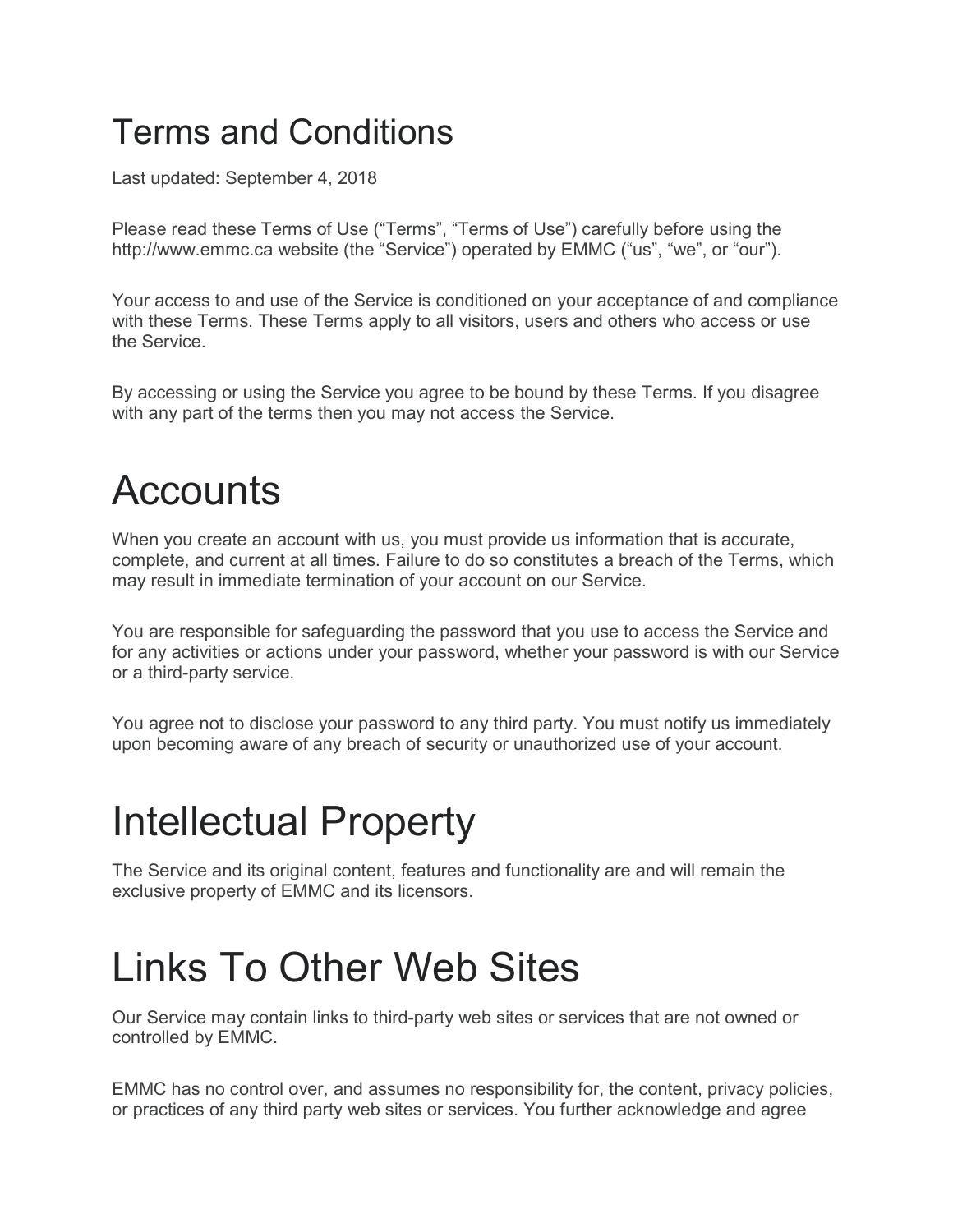#### Terms and Conditions

Last updated: September 4, 2018

Please read these Terms of Use ("Terms", "Terms of Use") carefully before using the http://www.emmc.ca website (the "Service") operated by EMMC ("us", "we", or "our").

Your access to and use of the Service is conditioned on your acceptance of and compliance with these Terms. These Terms apply to all visitors, users and others who access or use the Service.

By accessing or using the Service you agree to be bound by these Terms. If you disagree with any part of the terms then you may not access the Service.

#### **Accounts**

When you create an account with us, you must provide us information that is accurate, complete, and current at all times. Failure to do so constitutes a breach of the Terms, which may result in immediate termination of your account on our Service.

You are responsible for safeguarding the password that you use to access the Service and for any activities or actions under your password, whether your password is with our Service or a third-party service.

You agree not to disclose your password to any third party. You must notify us immediately upon becoming aware of any breach of security or unauthorized use of your account.

### Intellectual Property

The Service and its original content, features and functionality are and will remain the exclusive property of EMMC and its licensors.

#### Links To Other Web Sites

Our Service may contain links to third-party web sites or services that are not owned or controlled by EMMC.

EMMC has no control over, and assumes no responsibility for, the content, privacy policies, or practices of any third party web sites or services. You further acknowledge and agree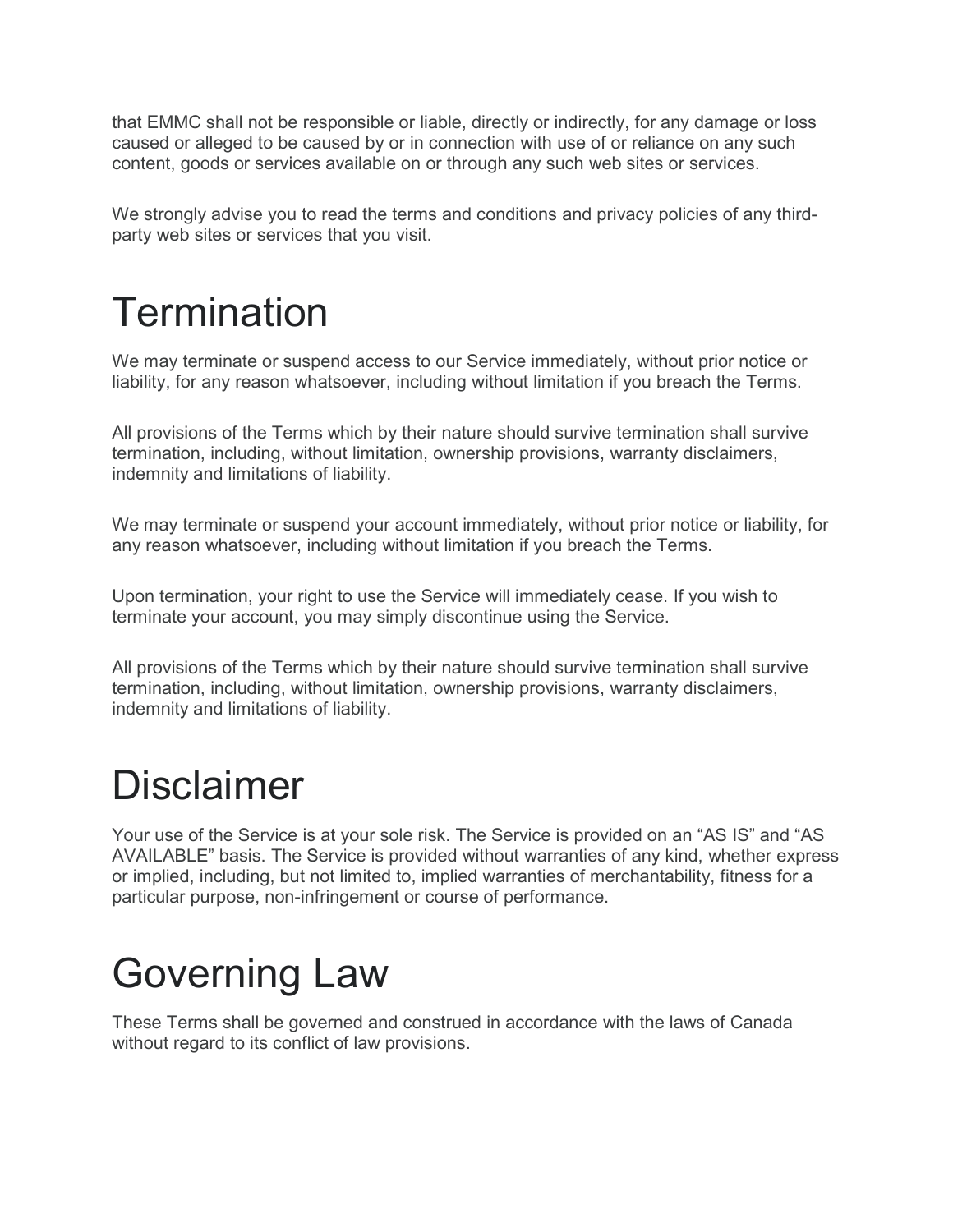that EMMC shall not be responsible or liable, directly or indirectly, for any damage or loss caused or alleged to be caused by or in connection with use of or reliance on any such content, goods or services available on or through any such web sites or services.

We strongly advise you to read the terms and conditions and privacy policies of any thirdparty web sites or services that you visit.

# **Termination**

We may terminate or suspend access to our Service immediately, without prior notice or liability, for any reason whatsoever, including without limitation if you breach the Terms.

All provisions of the Terms which by their nature should survive termination shall survive termination, including, without limitation, ownership provisions, warranty disclaimers, indemnity and limitations of liability.

We may terminate or suspend your account immediately, without prior notice or liability, for any reason whatsoever, including without limitation if you breach the Terms.

Upon termination, your right to use the Service will immediately cease. If you wish to terminate your account, you may simply discontinue using the Service.

All provisions of the Terms which by their nature should survive termination shall survive termination, including, without limitation, ownership provisions, warranty disclaimers, indemnity and limitations of liability.

### Disclaimer

Your use of the Service is at your sole risk. The Service is provided on an "AS IS" and "AS AVAILABLE" basis. The Service is provided without warranties of any kind, whether express or implied, including, but not limited to, implied warranties of merchantability, fitness for a particular purpose, non-infringement or course of performance.

# Governing Law

These Terms shall be governed and construed in accordance with the laws of Canada without regard to its conflict of law provisions.